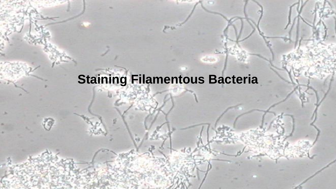# **Staining Filamentous Bacteria**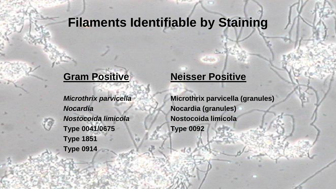### **Filaments Identifiable by Staining**

#### **Gram Positive**

*Microthrix parvicella Nocardia Nostocoida limicola* **Type 0041/0675 Type 1851 Type 0914**

#### **Neisser Positive**

**Microthrix parvicella (granules) Nocardia (granules) Nostocoida limicola Type 0092**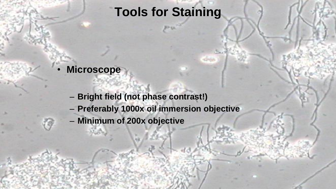- **Microscope**
	- **Bright field (not phase contrast!)**
	- **Preferably 1000x oil immersion objective**
	- **Minimum of 200x objective**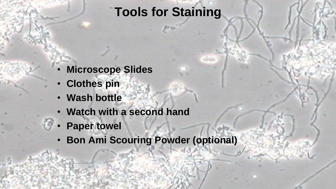- **Microscope Slides**
- **Clothes pin**
- **Wash bottle**
- **Watch with a second hand**
- **Paper towel**
- **Bon Ami Scouring Powder (optional)**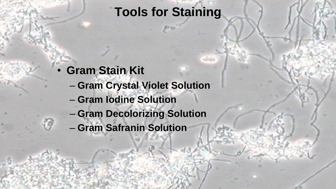- **Gram Stain Kit**
	- **Gram Crystal Violet Solution**
	- **Gram Iodine Solution**
	- **Gram Decolorizing Solution**
	- **Gram Safranin Solution**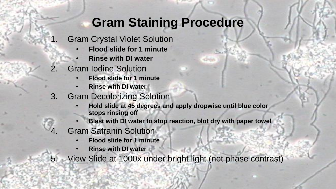# **Gram Staining Procedure**

- **Gram Crystal Violet Solution** 
	- **Flood slide for 1 minute**
	- **Rinse with DI water**
- **Gram Iodine Solution** 
	- **Flood slide for 1 minute**
	- **Rinse with DI water**
- 3. Gram Decolorizing Solution
	- **Hold slide at 45 degrees and apply dropwise until blue color stops rinsing off**
	- **Blast with DI water to stop reaction, blot dry with paper towel**
	- 4. Gram Safranin Solution
		- **Flood slide for 1 minute**
		- **Rinse with DI water**
- 5. View Slide at 1000x under bright light (not phase contrast)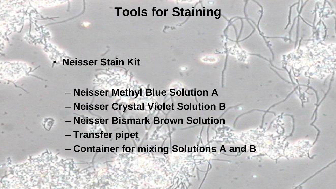#### • **Neisser Stain Kit**

- **Neisser Methyl Blue Solution A**
- **Neisser Crystal Violet Solution B**
- **Neisser Bismark Brown Solution**
- **Transfer pipet**
- **Container for mixing Solutions A and B**